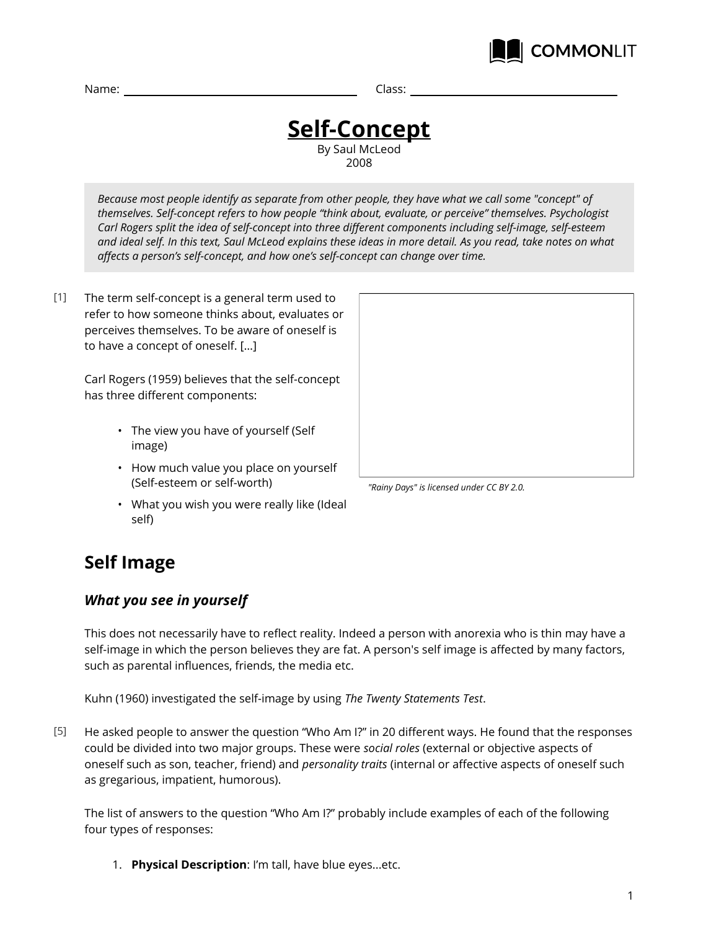

Name: Class:

#### **Self-Concept** By Saul McLeod 2008

*Because most people identify as separate from other people, they have what we call some "concept" of themselves. Self-concept refers to how people "think about, evaluate, or perceive" themselves. Psychologist Carl Rogers split the idea of self-concept into three different components including self-image, self-esteem and ideal self. In this text, Saul McLeod explains these ideas in more detail. As you read, take notes on what affects a person's self-concept, and how one's self-concept can change over time.*

The term self-concept is a general term used to refer to how someone thinks about, evaluates or perceives themselves. To be aware of oneself is to have a concept of oneself. […]  $[1]$ 

> Carl Rogers (1959) believes that the self-concept has three different components:

- The view you have of yourself (Self image)
- How much value you place on yourself (Self-esteem or self-worth)
- What you wish you were really like (Ideal self)



*<sup>&</sup>quot;Rainy Days" is licensed under CC BY 2.0.*

## **Self Image**

## *What you see in yourself*

This does not necessarily have to reflect reality. Indeed a person with anorexia who is thin may have a self-image in which the person believes they are fat. A person's self image is affected by many factors, such as parental influences, friends, the media etc.

Kuhn (1960) investigated the self-image by using *The Twenty Statements Test*.

He asked people to answer the question "Who Am I?" in 20 different ways. He found that the responses could be divided into two major groups. These were *social roles* (external or objective aspects of oneself such as son, teacher, friend) and *personality traits* (internal or affective aspects of oneself such as gregarious, impatient, humorous). [5]

The list of answers to the question "Who Am I?" probably include examples of each of the following four types of responses:

1. **Physical Description**: I'm tall, have blue eyes...etc.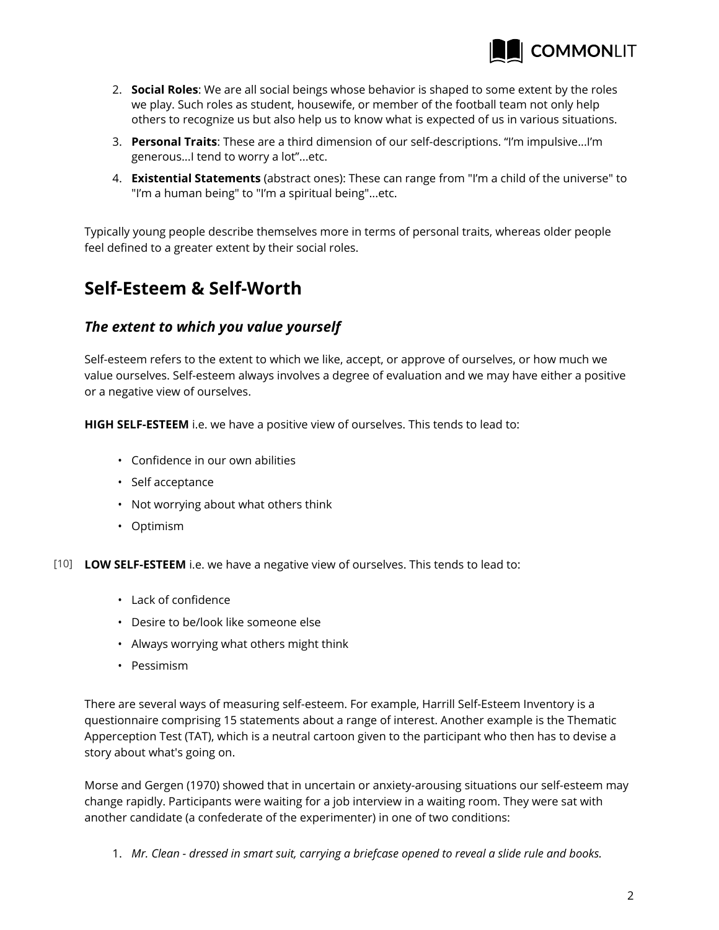

- 2. **Social Roles**: We are all social beings whose behavior is shaped to some extent by the roles we play. Such roles as student, housewife, or member of the football team not only help others to recognize us but also help us to know what is expected of us in various situations.
- 3. **Personal Traits**: These are a third dimension of our self-descriptions. "I'm impulsive...I'm generous...I tend to worry a lot"...etc.
- 4. **Existential Statements** (abstract ones): These can range from "I'm a child of the universe" to "I'm a human being" to "I'm a spiritual being"...etc.

Typically young people describe themselves more in terms of personal traits, whereas older people feel defined to a greater extent by their social roles.

## **Self-Esteem & Self-Worth**

## *The extent to which you value yourself*

Self-esteem refers to the extent to which we like, accept, or approve of ourselves, or how much we value ourselves. Self-esteem always involves a degree of evaluation and we may have either a positive or a negative view of ourselves.

**HIGH SELF-ESTEEM** i.e. we have a positive view of ourselves. This tends to lead to:

- Confidence in our own abilities
- Self acceptance
- Not worrying about what others think
- Optimism
- [10] **LOW SELF-ESTEEM** i.e. we have a negative view of ourselves. This tends to lead to:
	- Lack of confidence
	- Desire to be/look like someone else
	- Always worrying what others might think
	- Pessimism

There are several ways of measuring self-esteem. For example, Harrill Self-Esteem Inventory is a questionnaire comprising 15 statements about a range of interest. Another example is the Thematic Apperception Test (TAT), which is a neutral cartoon given to the participant who then has to devise a story about what's going on.

Morse and Gergen (1970) showed that in uncertain or anxiety-arousing situations our self-esteem may change rapidly. Participants were waiting for a job interview in a waiting room. They were sat with another candidate (a confederate of the experimenter) in one of two conditions:

1. *Mr. Clean - dressed in smart suit, carrying a briefcase opened to reveal a slide rule and books.*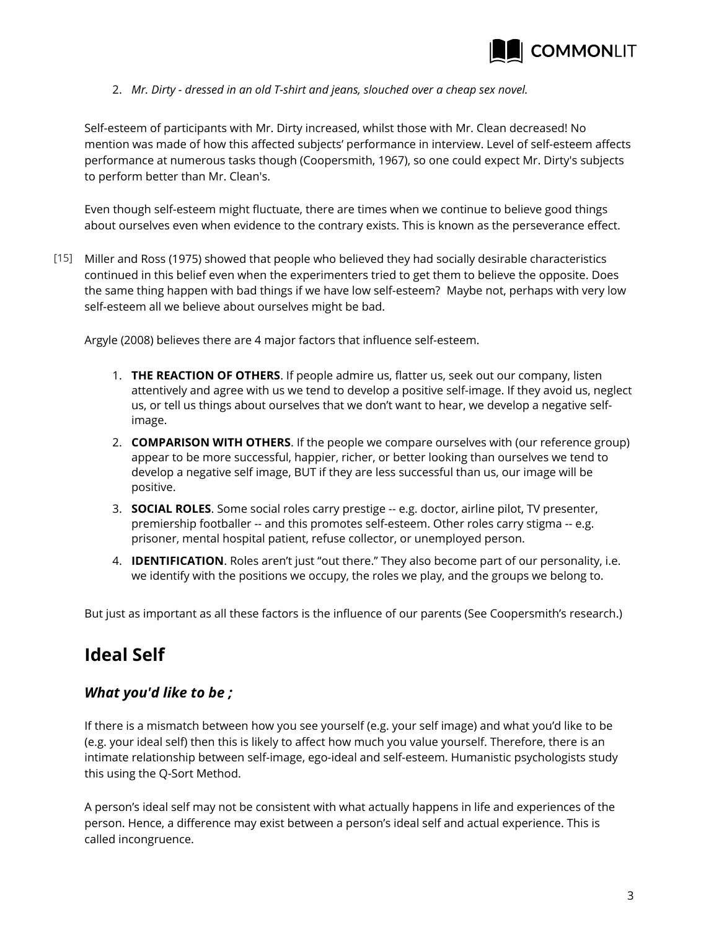

2. *Mr. Dirty - dressed in an old T-shirt and jeans, slouched over a cheap sex novel.*

Self-esteem of participants with Mr. Dirty increased, whilst those with Mr. Clean decreased! No mention was made of how this affected subjects' performance in interview. Level of self-esteem affects performance at numerous tasks though (Coopersmith, 1967), so one could expect Mr. Dirty's subjects to perform better than Mr. Clean's.

Even though self-esteem might fluctuate, there are times when we continue to believe good things about ourselves even when evidence to the contrary exists. This is known as the perseverance effect.

Miller and Ross (1975) showed that people who believed they had socially desirable characteristics [15] continued in this belief even when the experimenters tried to get them to believe the opposite. Does the same thing happen with bad things if we have low self-esteem? Maybe not, perhaps with very low self-esteem all we believe about ourselves might be bad.

Argyle (2008) believes there are 4 major factors that influence self-esteem.

- 1. **THE REACTION OF OTHERS**. If people admire us, flatter us, seek out our company, listen attentively and agree with us we tend to develop a positive self-image. If they avoid us, neglect us, or tell us things about ourselves that we don't want to hear, we develop a negative selfimage.
- 2. **COMPARISON WITH OTHERS**. If the people we compare ourselves with (our reference group) appear to be more successful, happier, richer, or better looking than ourselves we tend to develop a negative self image, BUT if they are less successful than us, our image will be positive.
- 3. **SOCIAL ROLES**. Some social roles carry prestige -- e.g. doctor, airline pilot, TV presenter, premiership footballer -- and this promotes self-esteem. Other roles carry stigma -- e.g. prisoner, mental hospital patient, refuse collector, or unemployed person.
- 4. **IDENTIFICATION**. Roles aren't just "out there." They also become part of our personality, i.e. we identify with the positions we occupy, the roles we play, and the groups we belong to.

But just as important as all these factors is the influence of our parents (See Coopersmith's research.)

## **Ideal Self**

## *What you'd like to be ;*

If there is a mismatch between how you see yourself (e.g. your self image) and what you'd like to be (e.g. your ideal self) then this is likely to affect how much you value yourself. Therefore, there is an intimate relationship between self-image, ego-ideal and self-esteem. Humanistic psychologists study this using the Q-Sort Method.

A person's ideal self may not be consistent with what actually happens in life and experiences of the person. Hence, a difference may exist between a person's ideal self and actual experience. This is called incongruence.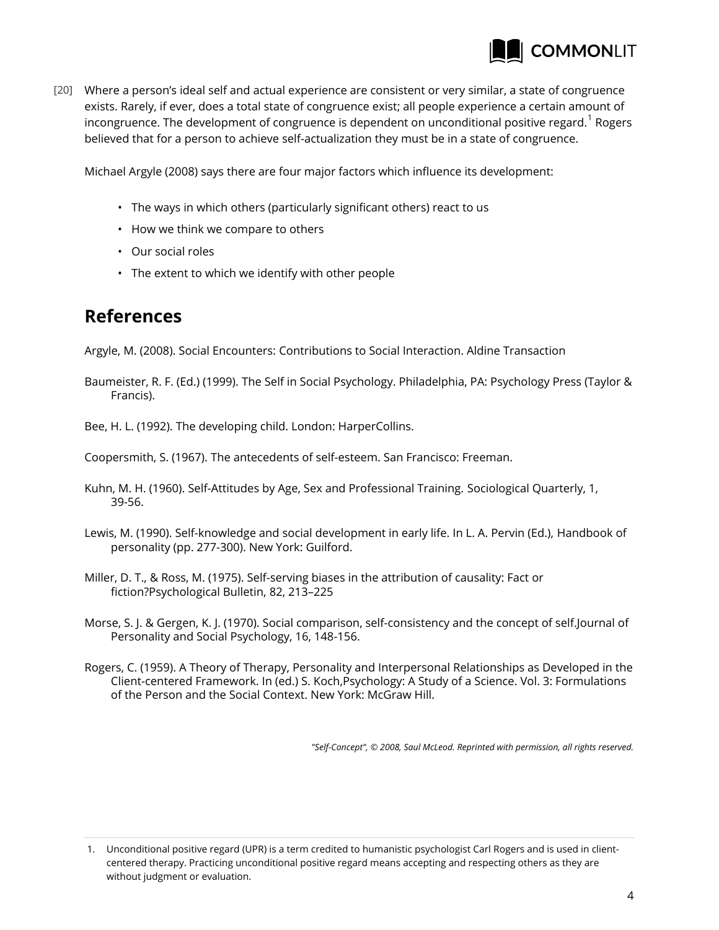

Where a person's ideal self and actual experience are consistent or very similar, a state of congruence [20] exists. Rarely, if ever, does a total state of congruence exist; all people experience a certain amount of incongruence. The development of congruence is dependent on unconditional positive regard. $^{\rm 1}$  Rogers believed that for a person to achieve self-actualization they must be in a state of congruence.

Michael Argyle (2008) says there are four major factors which influence its development:

- The ways in which others (particularly significant others) react to us
- How we think we compare to others
- Our social roles
- The extent to which we identify with other people

## **References**

Argyle, M. (2008). Social Encounters: Contributions to Social Interaction. Aldine Transaction

Baumeister, R. F. (Ed.) (1999). The Self in Social Psychology. Philadelphia, PA: Psychology Press (Taylor & Francis).

Bee, H. L. (1992). The developing child. London: HarperCollins.

Coopersmith, S. (1967). The antecedents of self-esteem. San Francisco: Freeman.

- Kuhn, M. H. (1960). Self-Attitudes by Age, Sex and Professional Training. Sociological Quarterly, 1, 39-56.
- Lewis, M. (1990). Self-knowledge and social development in early life. In L. A. Pervin (Ed.), Handbook of personality (pp. 277-300). New York: Guilford.
- Miller, D. T., & Ross, M. (1975). Self-serving biases in the attribution of causality: Fact or fiction?Psychological Bulletin, 82, 213–225
- Morse, S. J. & Gergen, K. J. (1970). Social comparison, self-consistency and the concept of self.Journal of Personality and Social Psychology, 16, 148-156.
- Rogers, C. (1959). A Theory of Therapy, Personality and Interpersonal Relationships as Developed in the Client-centered Framework. In (ed.) S. Koch,Psychology: A Study of a Science. Vol. 3: Formulations of the Person and the Social Context. New York: McGraw Hill.

*"Self-Concept", © 2008, Saul McLeod. Reprinted with permission, all rights reserved.*

1. Unconditional positive regard (UPR) is a term credited to humanistic psychologist Carl Rogers and is used in clientcentered therapy. Practicing unconditional positive regard means accepting and respecting others as they are without judgment or evaluation.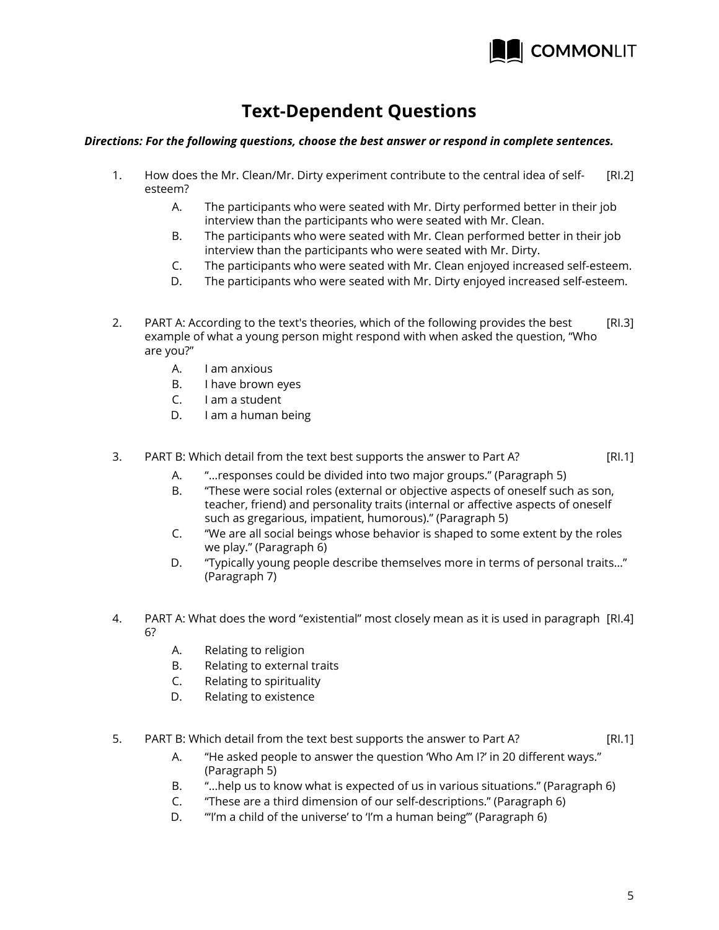

## **Text-Dependent Questions**

#### *Directions: For the following questions, choose the best answer or respond in complete sentences.*

- [RI.2] 1. How does the Mr. Clean/Mr. Dirty experiment contribute to the central idea of selfesteem?
	- A. The participants who were seated with Mr. Dirty performed better in their job interview than the participants who were seated with Mr. Clean.
	- B. The participants who were seated with Mr. Clean performed better in their job interview than the participants who were seated with Mr. Dirty.
	- C. The participants who were seated with Mr. Clean enjoyed increased self-esteem.
	- D. The participants who were seated with Mr. Dirty enjoyed increased self-esteem.
- [RI.3] 2. PART A: According to the text's theories, which of the following provides the best example of what a young person might respond with when asked the question, "Who are you?"
	- A. I am anxious
	- B. I have brown eyes
	- C. I am a student
	- D. I am a human being

#### [RI.1] 3. PART B: Which detail from the text best supports the answer to Part A?

- A. "…responses could be divided into two major groups." (Paragraph 5)
- B. "These were social roles (external or objective aspects of oneself such as son, teacher, friend) and personality traits (internal or affective aspects of oneself such as gregarious, impatient, humorous)." (Paragraph 5)
- C. "We are all social beings whose behavior is shaped to some extent by the roles we play." (Paragraph 6)
- D. "Typically young people describe themselves more in terms of personal traits…" (Paragraph 7)
- 4. PART A: What does the word "existential" most closely mean as it is used in paragraph [Rl.4] 6?
	- A. Relating to religion
	- B. Relating to external traits
	- C. Relating to spirituality
	- D. Relating to existence
- [RI.1] 5. PART B: Which detail from the text best supports the answer to Part A?
	- A. "He asked people to answer the question 'Who Am I?' in 20 different ways." (Paragraph 5)
	- B. "…help us to know what is expected of us in various situations." (Paragraph 6)
	- C. "These are a third dimension of our self-descriptions." (Paragraph 6)
	- D. "'I'm a child of the universe' to 'I'm a human being'" (Paragraph 6)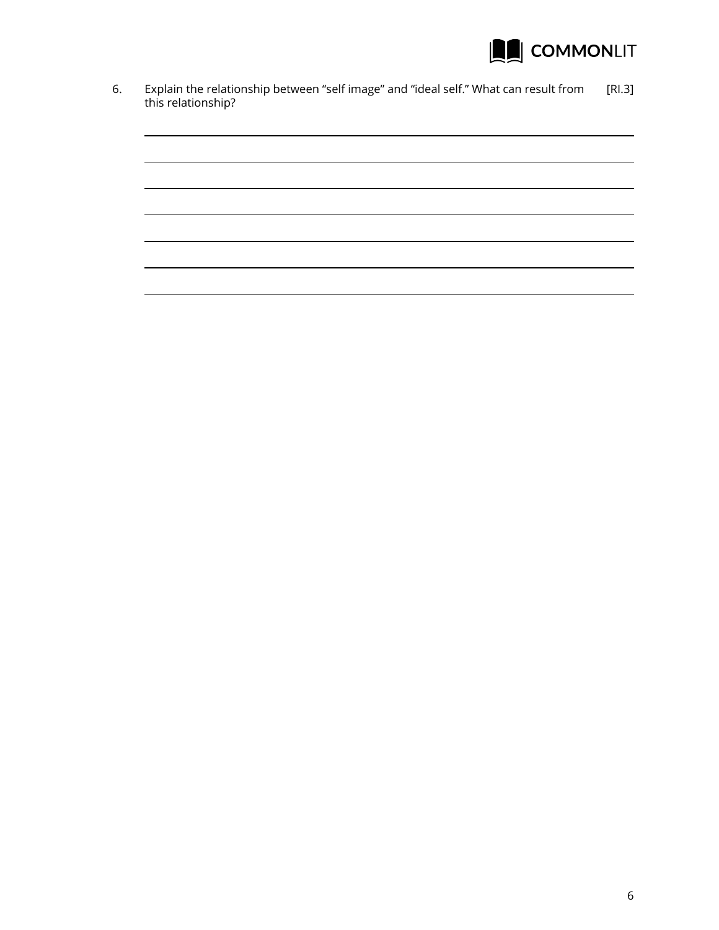

6. Explain the relationship between "self image" and "ideal self." What can result from [RI.3] this relationship?